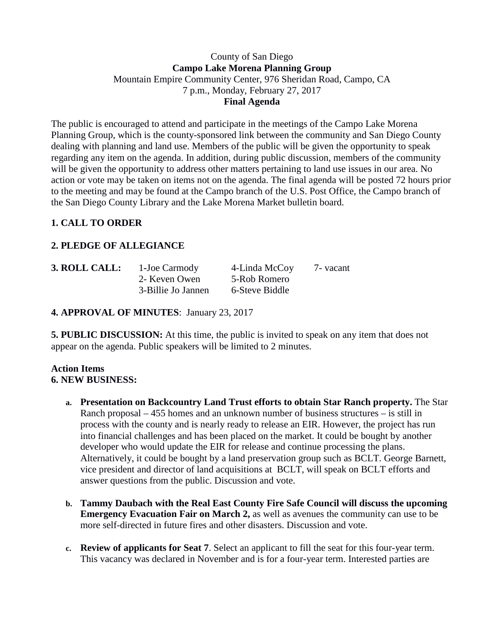### County of San Diego **Campo Lake Morena Planning Group** Mountain Empire Community Center, 976 Sheridan Road, Campo, CA 7 p.m., Monday, February 27, 2017 **Final Agenda**

The public is encouraged to attend and participate in the meetings of the Campo Lake Morena Planning Group, which is the county-sponsored link between the community and San Diego County dealing with planning and land use. Members of the public will be given the opportunity to speak regarding any item on the agenda. In addition, during public discussion, members of the community will be given the opportunity to address other matters pertaining to land use issues in our area. No action or vote may be taken on items not on the agenda. The final agenda will be posted 72 hours prior to the meeting and may be found at the Campo branch of the U.S. Post Office, the Campo branch of the San Diego County Library and the Lake Morena Market bulletin board.

# **1. CALL TO ORDER**

## **2. PLEDGE OF ALLEGIANCE**

| 3. ROLL CALL: | 1-Joe Carmody      | 4-Linda McCoy  | 7 - vacant |
|---------------|--------------------|----------------|------------|
|               | 2- Keven Owen      | 5-Rob Romero   |            |
|               | 3-Billie Jo Jannen | 6-Steve Biddle |            |

**4. APPROVAL OF MINUTES**: January 23, 2017

**5. PUBLIC DISCUSSION:** At this time, the public is invited to speak on any item that does not appear on the agenda. Public speakers will be limited to 2 minutes.

#### **Action Items 6. NEW BUSINESS:**

- **a. Presentation on Backcountry Land Trust efforts to obtain Star Ranch property.** The Star Ranch proposal – 455 homes and an unknown number of business structures – is still in process with the county and is nearly ready to release an EIR. However, the project has run into financial challenges and has been placed on the market. It could be bought by another developer who would update the EIR for release and continue processing the plans. Alternatively, it could be bought by a land preservation group such as BCLT. George Barnett, vice president and director of land acquisitions at BCLT, will speak on BCLT efforts and answer questions from the public. Discussion and vote.
- **b. Tammy Daubach with the Real East County Fire Safe Council will discuss the upcoming Emergency Evacuation Fair on March 2, as well as avenues the community can use to be** more self-directed in future fires and other disasters. Discussion and vote.
- **c. Review of applicants for Seat 7**. Select an applicant to fill the seat for this four-year term. This vacancy was declared in November and is for a four-year term. Interested parties are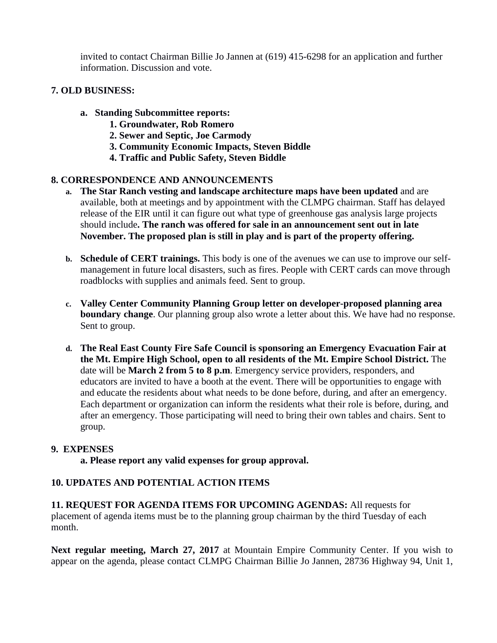invited to contact Chairman Billie Jo Jannen at (619) 415-6298 for an application and further information. Discussion and vote.

### **7. OLD BUSINESS:**

- **a. Standing Subcommittee reports:**
	- **1. Groundwater, Rob Romero**
	- **2. Sewer and Septic, Joe Carmody**
	- **3. Community Economic Impacts, Steven Biddle**
	- **4. Traffic and Public Safety, Steven Biddle**

#### **8. CORRESPONDENCE AND ANNOUNCEMENTS**

- **a. The Star Ranch vesting and landscape architecture maps have been updated** and are available, both at meetings and by appointment with the CLMPG chairman. Staff has delayed release of the EIR until it can figure out what type of greenhouse gas analysis large projects should include**. The ranch was offered for sale in an announcement sent out in late November. The proposed plan is still in play and is part of the property offering.**
- **b. Schedule of CERT trainings.** This body is one of the avenues we can use to improve our selfmanagement in future local disasters, such as fires. People with CERT cards can move through roadblocks with supplies and animals feed. Sent to group.
- **c. Valley Center Community Planning Group letter on developer-proposed planning area boundary change**. Our planning group also wrote a letter about this. We have had no response. Sent to group.
- **d. The Real East County Fire Safe Council is sponsoring an Emergency Evacuation Fair at the Mt. Empire High School, open to all residents of the Mt. Empire School District.** The date will be **March 2 from 5 to 8 p.m**. Emergency service providers, responders, and educators are invited to have a booth at the event. There will be opportunities to engage with and educate the residents about what needs to be done before, during, and after an emergency. Each department or organization can inform the residents what their role is before, during, and after an emergency. Those participating will need to bring their own tables and chairs. Sent to group.

#### **9. EXPENSES**

**a. Please report any valid expenses for group approval.**

## **10. UPDATES AND POTENTIAL ACTION ITEMS**

**11. REQUEST FOR AGENDA ITEMS FOR UPCOMING AGENDAS:** All requests for placement of agenda items must be to the planning group chairman by the third Tuesday of each month.

**Next regular meeting, March 27, 2017** at Mountain Empire Community Center. If you wish to appear on the agenda, please contact CLMPG Chairman Billie Jo Jannen, 28736 Highway 94, Unit 1,